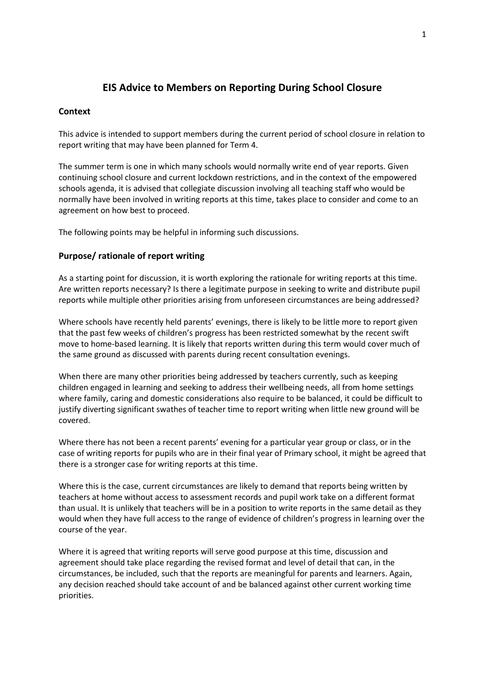# **EIS Advice to Members on Reporting During School Closure**

# **Context**

This advice is intended to support members during the current period of school closure in relation to report writing that may have been planned for Term 4.

The summer term is one in which many schools would normally write end of year reports. Given continuing school closure and current lockdown restrictions, and in the context of the empowered schools agenda, it is advised that collegiate discussion involving all teaching staff who would be normally have been involved in writing reports at this time, takes place to consider and come to an agreement on how best to proceed.

The following points may be helpful in informing such discussions.

# **Purpose/ rationale of report writing**

As a starting point for discussion, it is worth exploring the rationale for writing reports at this time. Are written reports necessary? Is there a legitimate purpose in seeking to write and distribute pupil reports while multiple other priorities arising from unforeseen circumstances are being addressed?

Where schools have recently held parents' evenings, there is likely to be little more to report given that the past few weeks of children's progress has been restricted somewhat by the recent swift move to home-based learning. It is likely that reports written during this term would cover much of the same ground as discussed with parents during recent consultation evenings.

When there are many other priorities being addressed by teachers currently, such as keeping children engaged in learning and seeking to address their wellbeing needs, all from home settings where family, caring and domestic considerations also require to be balanced, it could be difficult to justify diverting significant swathes of teacher time to report writing when little new ground will be covered.

Where there has not been a recent parents' evening for a particular year group or class, or in the case of writing reports for pupils who are in their final year of Primary school, it might be agreed that there is a stronger case for writing reports at this time.

Where this is the case, current circumstances are likely to demand that reports being written by teachers at home without access to assessment records and pupil work take on a different format than usual. It is unlikely that teachers will be in a position to write reports in the same detail as they would when they have full access to the range of evidence of children's progress in learning over the course of the year.

Where it is agreed that writing reports will serve good purpose at this time, discussion and agreement should take place regarding the revised format and level of detail that can, in the circumstances, be included, such that the reports are meaningful for parents and learners. Again, any decision reached should take account of and be balanced against other current working time priorities.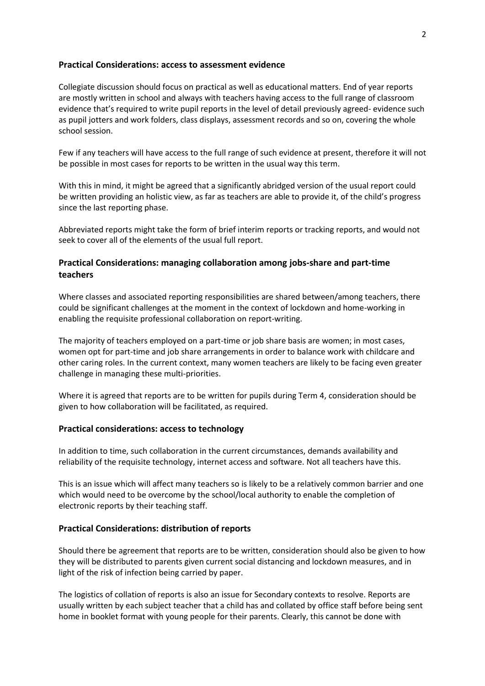### **Practical Considerations: access to assessment evidence**

Collegiate discussion should focus on practical as well as educational matters. End of year reports are mostly written in school and always with teachers having access to the full range of classroom evidence that's required to write pupil reports in the level of detail previously agreed- evidence such as pupil jotters and work folders, class displays, assessment records and so on, covering the whole school session.

Few if any teachers will have access to the full range of such evidence at present, therefore it will not be possible in most cases for reports to be written in the usual way this term.

With this in mind, it might be agreed that a significantly abridged version of the usual report could be written providing an holistic view, as far as teachers are able to provide it, of the child's progress since the last reporting phase.

Abbreviated reports might take the form of brief interim reports or tracking reports, and would not seek to cover all of the elements of the usual full report.

# **Practical Considerations: managing collaboration among jobs-share and part-time teachers**

Where classes and associated reporting responsibilities are shared between/among teachers, there could be significant challenges at the moment in the context of lockdown and home-working in enabling the requisite professional collaboration on report-writing.

The majority of teachers employed on a part-time or job share basis are women; in most cases, women opt for part-time and job share arrangements in order to balance work with childcare and other caring roles. In the current context, many women teachers are likely to be facing even greater challenge in managing these multi-priorities.

Where it is agreed that reports are to be written for pupils during Term 4, consideration should be given to how collaboration will be facilitated, as required.

#### **Practical considerations: access to technology**

In addition to time, such collaboration in the current circumstances, demands availability and reliability of the requisite technology, internet access and software. Not all teachers have this.

This is an issue which will affect many teachers so is likely to be a relatively common barrier and one which would need to be overcome by the school/local authority to enable the completion of electronic reports by their teaching staff.

#### **Practical Considerations: distribution of reports**

Should there be agreement that reports are to be written, consideration should also be given to how they will be distributed to parents given current social distancing and lockdown measures, and in light of the risk of infection being carried by paper.

The logistics of collation of reports is also an issue for Secondary contexts to resolve. Reports are usually written by each subject teacher that a child has and collated by office staff before being sent home in booklet format with young people for their parents. Clearly, this cannot be done with